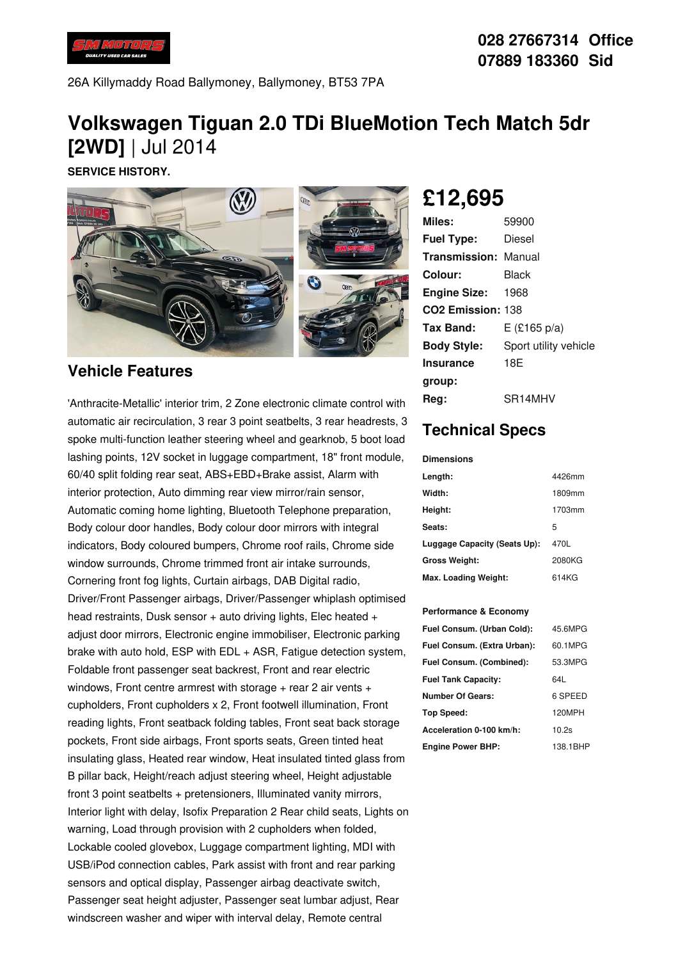

26A Killymaddy Road Ballymoney, Ballymoney, BT53 7PA

# **Volkswagen Tiguan 2.0 TDi BlueMotion Tech Match 5dr [2WD]** | Jul 2014

**SERVICE HISTORY.**



### **Vehicle Features**

'Anthracite-Metallic' interior trim, 2 Zone electronic climate control with automatic air recirculation, 3 rear 3 point seatbelts, 3 rear headrests, 3 spoke multi-function leather steering wheel and gearknob, 5 boot load lashing points, 12V socket in luggage compartment, 18" front module, 60/40 split folding rear seat, ABS+EBD+Brake assist, Alarm with interior protection, Auto dimming rear view mirror/rain sensor, Automatic coming home lighting, Bluetooth Telephone preparation, Body colour door handles, Body colour door mirrors with integral indicators, Body coloured bumpers, Chrome roof rails, Chrome side window surrounds, Chrome trimmed front air intake surrounds, Cornering front fog lights, Curtain airbags, DAB Digital radio, Driver/Front Passenger airbags, Driver/Passenger whiplash optimised head restraints, Dusk sensor  $+$  auto driving lights, Elec heated  $+$ adjust door mirrors, Electronic engine immobiliser, Electronic parking brake with auto hold, ESP with EDL + ASR, Fatigue detection system, Foldable front passenger seat backrest, Front and rear electric windows, Front centre armrest with storage  $+$  rear 2 air vents  $+$ cupholders, Front cupholders x 2, Front footwell illumination, Front reading lights, Front seatback folding tables, Front seat back storage pockets, Front side airbags, Front sports seats, Green tinted heat insulating glass, Heated rear window, Heat insulated tinted glass from B pillar back, Height/reach adjust steering wheel, Height adjustable front 3 point seatbelts + pretensioners, Illuminated vanity mirrors, Interior light with delay, Isofix Preparation 2 Rear child seats, Lights on warning, Load through provision with 2 cupholders when folded, Lockable cooled glovebox, Luggage compartment lighting, MDI with USB/iPod connection cables, Park assist with front and rear parking sensors and optical display, Passenger airbag deactivate switch, Passenger seat height adjuster, Passenger seat lumbar adjust, Rear windscreen washer and wiper with interval delay, Remote central

# **£12,695**

| Miles:                        | 59900                 |
|-------------------------------|-----------------------|
| <b>Fuel Type:</b>             | Diesel                |
| <b>Transmission: Manual</b>   |                       |
| Colour:                       | Black                 |
| <b>Engine Size: 1968</b>      |                       |
| CO <sub>2</sub> Emission: 138 |                       |
| Tax Band:                     | $E$ (£165 p/a)        |
| <b>Body Style:</b>            | Sport utility vehicle |
| <b>Insurance</b>              | 18E                   |
| group:                        |                       |
| Reg:                          | SR14MHV               |

## **Technical Specs**

#### **Dimensions**

| Length:                      | 4426mm |
|------------------------------|--------|
| Width:                       | 1809mm |
| Height:                      | 1703mm |
| Seats:                       | 5      |
| Luggage Capacity (Seats Up): | 470L   |
| <b>Gross Weight:</b>         | 2080KG |
| Max. Loading Weight:         | 614KG  |

### **Performance & Economy**

| Fuel Consum. (Urban Cold):  | 45.6MPG  |
|-----------------------------|----------|
| Fuel Consum. (Extra Urban): | 60.1MPG  |
| Fuel Consum. (Combined):    | 53.3MPG  |
| <b>Fuel Tank Capacity:</b>  | 64I      |
| <b>Number Of Gears:</b>     | 6 SPEED  |
| <b>Top Speed:</b>           | 120MPH   |
| Acceleration 0-100 km/h:    | 10.2s    |
| <b>Engine Power BHP:</b>    | 138.1BHP |